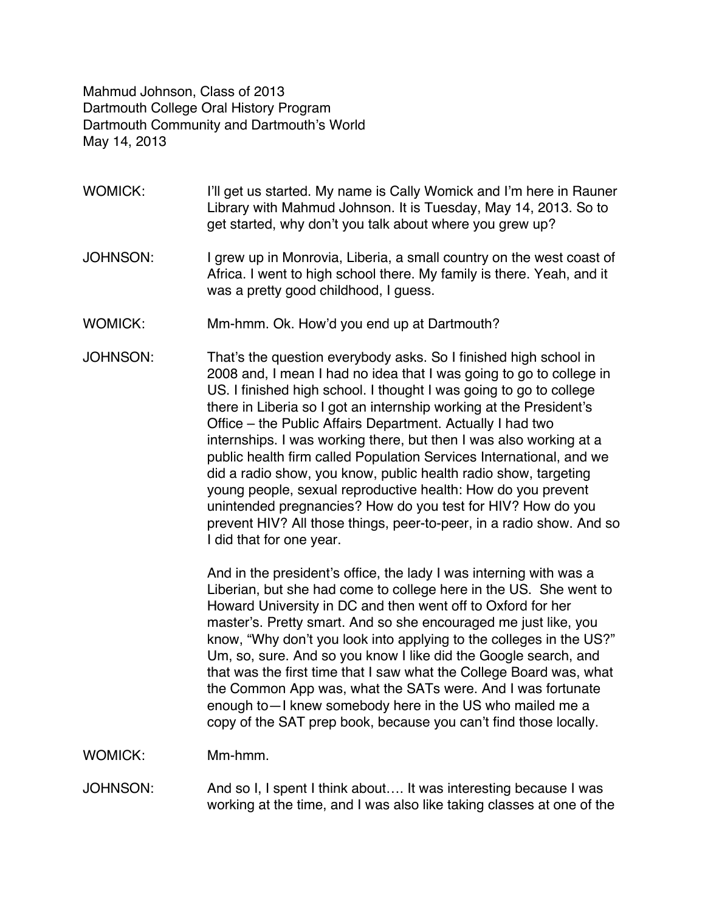Mahmud Johnson, Class of 2013 Dartmouth College Oral History Program Dartmouth Community and Dartmouth's World May 14, 2013

- WOMICK: I'll get us started. My name is Cally Womick and I'm here in Rauner Library with Mahmud Johnson. It is Tuesday, May 14, 2013. So to get started, why don't you talk about where you grew up?
- JOHNSON: I grew up in Monrovia, Liberia, a small country on the west coast of Africa. I went to high school there. My family is there. Yeah, and it was a pretty good childhood, I guess.
- WOMICK: Mm-hmm. Ok. How'd you end up at Dartmouth?
- JOHNSON: That's the question everybody asks. So I finished high school in 2008 and, I mean I had no idea that I was going to go to college in US. I finished high school. I thought I was going to go to college there in Liberia so I got an internship working at the President's Office – the Public Affairs Department. Actually I had two internships. I was working there, but then I was also working at a public health firm called Population Services International, and we did a radio show, you know, public health radio show, targeting young people, sexual reproductive health: How do you prevent unintended pregnancies? How do you test for HIV? How do you prevent HIV? All those things, peer-to-peer, in a radio show. And so I did that for one year.

And in the president's office, the lady I was interning with was a Liberian, but she had come to college here in the US. She went to Howard University in DC and then went off to Oxford for her master's. Pretty smart. And so she encouraged me just like, you know, "Why don't you look into applying to the colleges in the US?" Um, so, sure. And so you know I like did the Google search, and that was the first time that I saw what the College Board was, what the Common App was, what the SATs were. And I was fortunate enough to—I knew somebody here in the US who mailed me a copy of the SAT prep book, because you can't find those locally.

WOMICK: Mm-hmm.

JOHNSON: And so I, I spent I think about…. It was interesting because I was working at the time, and I was also like taking classes at one of the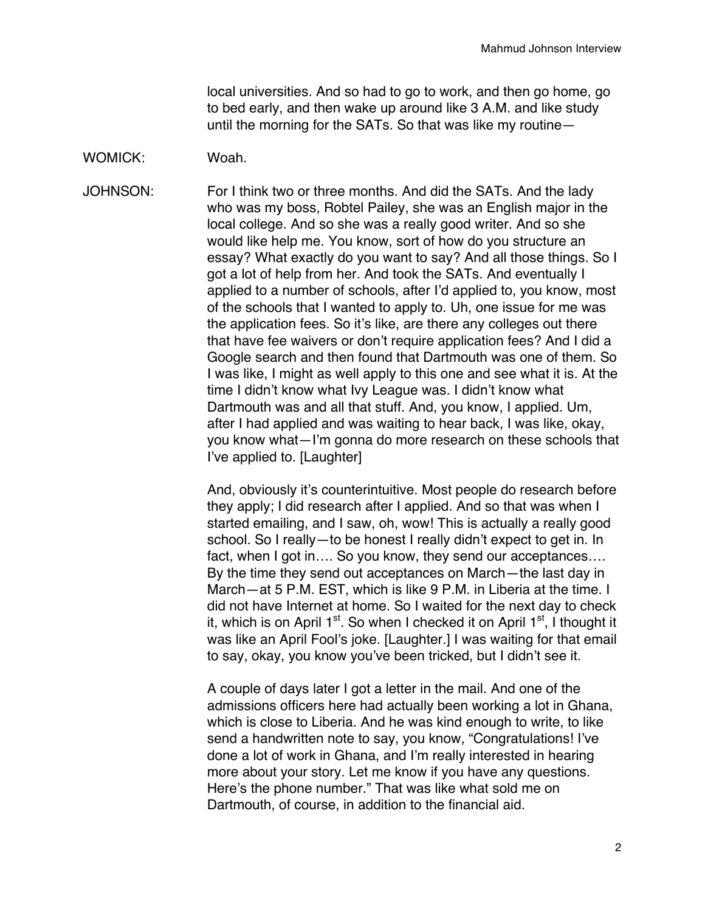local universities. And so had to go to work, and then go home, go to bed early, and then wake up around like 3 A.M. and like study until the morning for the SATs. So that was like my routine—

## WOMICK: Woah.

JOHNSON: For I think two or three months. And did the SATs. And the lady who was my boss, Robtel Pailey, she was an English major in the local college. And so she was a really good writer. And so she would like help me. You know, sort of how do you structure an essay? What exactly do you want to say? And all those things. So I got a lot of help from her. And took the SATs. And eventually I applied to a number of schools, after I'd applied to, you know, most of the schools that I wanted to apply to. Uh, one issue for me was the application fees. So it's like, are there any colleges out there that have fee waivers or don't require application fees? And I did a Google search and then found that Dartmouth was one of them. So I was like, I might as well apply to this one and see what it is. At the time I didn't know what Ivy League was. I didn't know what Dartmouth was and all that stuff. And, you know, I applied. Um, after I had applied and was waiting to hear back, I was like, okay, you know what—I'm gonna do more research on these schools that I've applied to. [Laughter]

> And, obviously it's counterintuitive. Most people do research before they apply; I did research after I applied. And so that was when I started emailing, and I saw, oh, wow! This is actually a really good school. So I really—to be honest I really didn't expect to get in. In fact, when I got in.... So you know, they send our acceptances.... By the time they send out acceptances on March—the last day in March—at 5 P.M. EST, which is like 9 P.M. in Liberia at the time. I did not have Internet at home. So I waited for the next day to check it, which is on April  $1<sup>st</sup>$ . So when I checked it on April  $1<sup>st</sup>$ , I thought it was like an April Fool's joke. [Laughter.] I was waiting for that email to say, okay, you know you've been tricked, but I didn't see it.

A couple of days later I got a letter in the mail. And one of the admissions officers here had actually been working a lot in Ghana, which is close to Liberia. And he was kind enough to write, to like send a handwritten note to say, you know, "Congratulations! I've done a lot of work in Ghana, and I'm really interested in hearing more about your story. Let me know if you have any questions. Here's the phone number." That was like what sold me on Dartmouth, of course, in addition to the financial aid.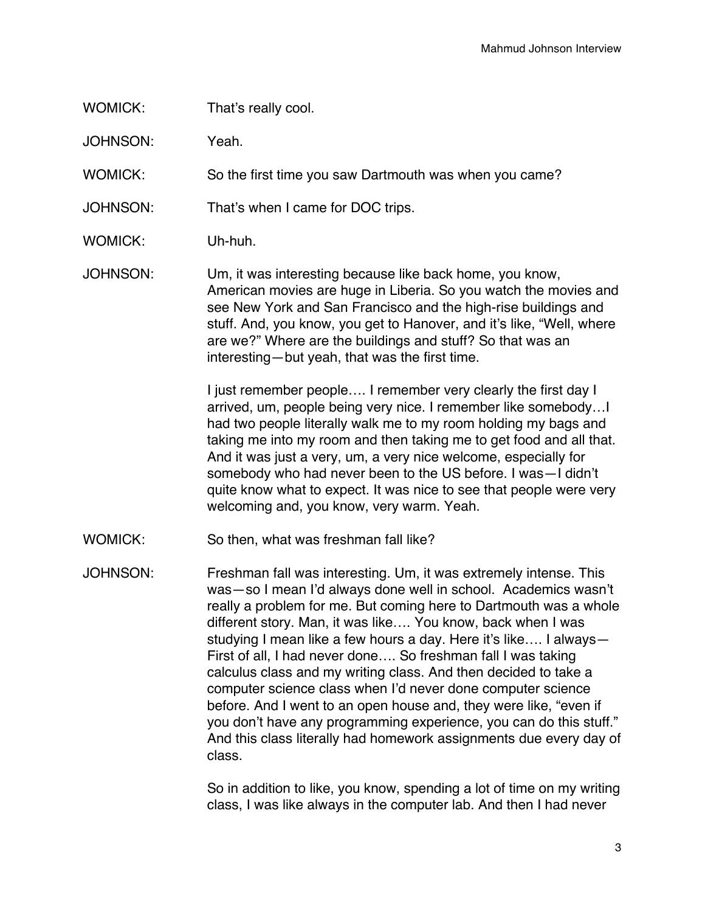## WOMICK: That's really cool.

JOHNSON: Yeah.

WOMICK: So the first time you saw Dartmouth was when you came?

JOHNSON: That's when I came for DOC trips.

- WOMICK: Uh-huh.
- JOHNSON: Um, it was interesting because like back home, you know, American movies are huge in Liberia. So you watch the movies and see New York and San Francisco and the high-rise buildings and stuff. And, you know, you get to Hanover, and it's like, "Well, where are we?" Where are the buildings and stuff? So that was an interesting—but yeah, that was the first time.

I just remember people…. I remember very clearly the first day I arrived, um, people being very nice. I remember like somebody…I had two people literally walk me to my room holding my bags and taking me into my room and then taking me to get food and all that. And it was just a very, um, a very nice welcome, especially for somebody who had never been to the US before. I was—I didn't quite know what to expect. It was nice to see that people were very welcoming and, you know, very warm. Yeah.

WOMICK: So then, what was freshman fall like?

JOHNSON: Freshman fall was interesting. Um, it was extremely intense. This was—so I mean I'd always done well in school. Academics wasn't really a problem for me. But coming here to Dartmouth was a whole different story. Man, it was like…. You know, back when I was studying I mean like a few hours a day. Here it's like…. I always— First of all, I had never done…. So freshman fall I was taking calculus class and my writing class. And then decided to take a computer science class when I'd never done computer science before. And I went to an open house and, they were like, "even if you don't have any programming experience, you can do this stuff." And this class literally had homework assignments due every day of class.

> So in addition to like, you know, spending a lot of time on my writing class, I was like always in the computer lab. And then I had never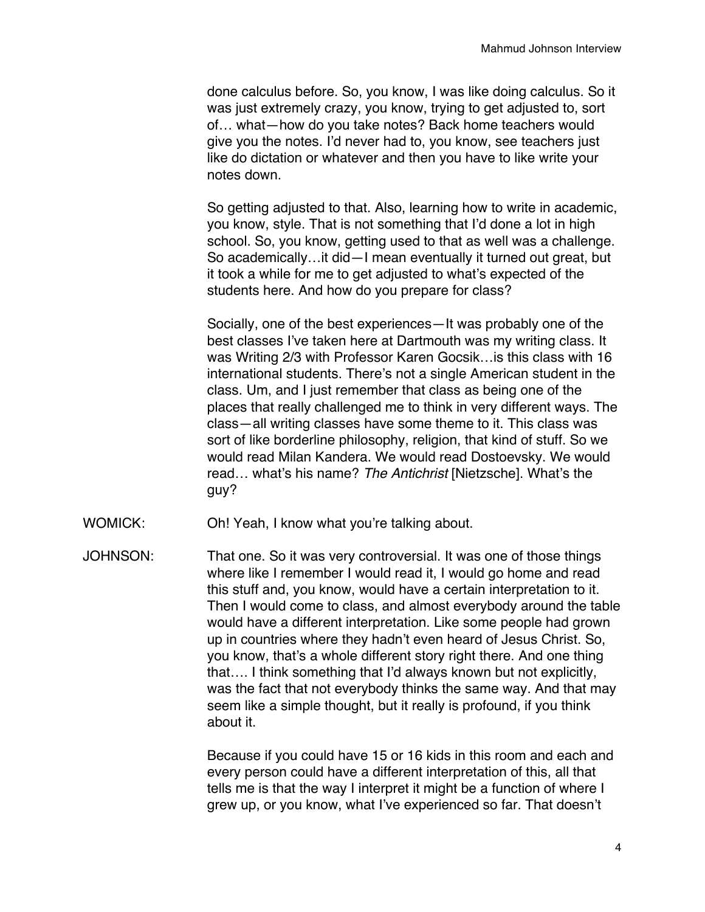done calculus before. So, you know, I was like doing calculus. So it was just extremely crazy, you know, trying to get adjusted to, sort of… what—how do you take notes? Back home teachers would give you the notes. I'd never had to, you know, see teachers just like do dictation or whatever and then you have to like write your notes down.

So getting adjusted to that. Also, learning how to write in academic, you know, style. That is not something that I'd done a lot in high school. So, you know, getting used to that as well was a challenge. So academically…it did—I mean eventually it turned out great, but it took a while for me to get adjusted to what's expected of the students here. And how do you prepare for class?

Socially, one of the best experiences—It was probably one of the best classes I've taken here at Dartmouth was my writing class. It was Writing 2/3 with Professor Karen Gocsik…is this class with 16 international students. There's not a single American student in the class. Um, and I just remember that class as being one of the places that really challenged me to think in very different ways. The class—all writing classes have some theme to it. This class was sort of like borderline philosophy, religion, that kind of stuff. So we would read Milan Kandera. We would read Dostoevsky. We would read… what's his name? *The Antichrist* [Nietzsche]. What's the guy?

- WOMICK: Oh! Yeah, I know what you're talking about.
- JOHNSON: That one. So it was very controversial. It was one of those things where like I remember I would read it, I would go home and read this stuff and, you know, would have a certain interpretation to it. Then I would come to class, and almost everybody around the table would have a different interpretation. Like some people had grown up in countries where they hadn't even heard of Jesus Christ. So, you know, that's a whole different story right there. And one thing that…. I think something that I'd always known but not explicitly, was the fact that not everybody thinks the same way. And that may seem like a simple thought, but it really is profound, if you think about it.

Because if you could have 15 or 16 kids in this room and each and every person could have a different interpretation of this, all that tells me is that the way I interpret it might be a function of where I grew up, or you know, what I've experienced so far. That doesn't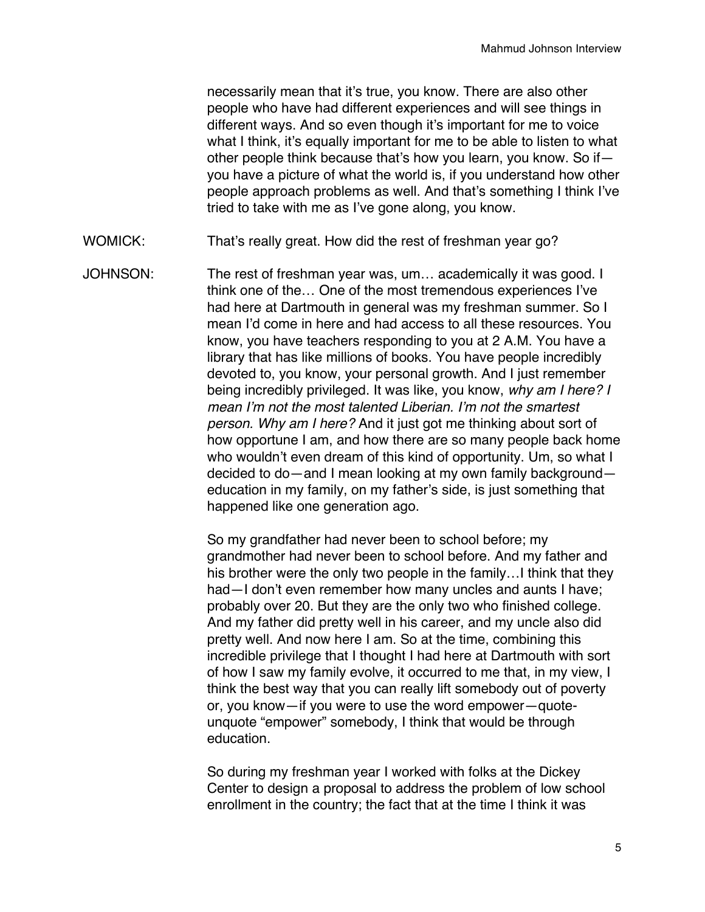necessarily mean that it's true, you know. There are also other people who have had different experiences and will see things in different ways. And so even though it's important for me to voice what I think, it's equally important for me to be able to listen to what other people think because that's how you learn, you know. So if you have a picture of what the world is, if you understand how other people approach problems as well. And that's something I think I've tried to take with me as I've gone along, you know.

- WOMICK: That's really great. How did the rest of freshman year go?
- JOHNSON: The rest of freshman year was, um… academically it was good. I think one of the… One of the most tremendous experiences I've had here at Dartmouth in general was my freshman summer. So I mean I'd come in here and had access to all these resources. You know, you have teachers responding to you at 2 A.M. You have a library that has like millions of books. You have people incredibly devoted to, you know, your personal growth. And I just remember being incredibly privileged. It was like, you know, *why am I here? I mean I'm not the most talented Liberian. I'm not the smartest person. Why am I here?* And it just got me thinking about sort of how opportune I am, and how there are so many people back home who wouldn't even dream of this kind of opportunity. Um, so what I decided to do—and I mean looking at my own family background education in my family, on my father's side, is just something that happened like one generation ago.

So my grandfather had never been to school before; my grandmother had never been to school before. And my father and his brother were the only two people in the family…I think that they had—I don't even remember how many uncles and aunts I have; probably over 20. But they are the only two who finished college. And my father did pretty well in his career, and my uncle also did pretty well. And now here I am. So at the time, combining this incredible privilege that I thought I had here at Dartmouth with sort of how I saw my family evolve, it occurred to me that, in my view, I think the best way that you can really lift somebody out of poverty or, you know—if you were to use the word empower—quoteunquote "empower" somebody, I think that would be through education.

So during my freshman year I worked with folks at the Dickey Center to design a proposal to address the problem of low school enrollment in the country; the fact that at the time I think it was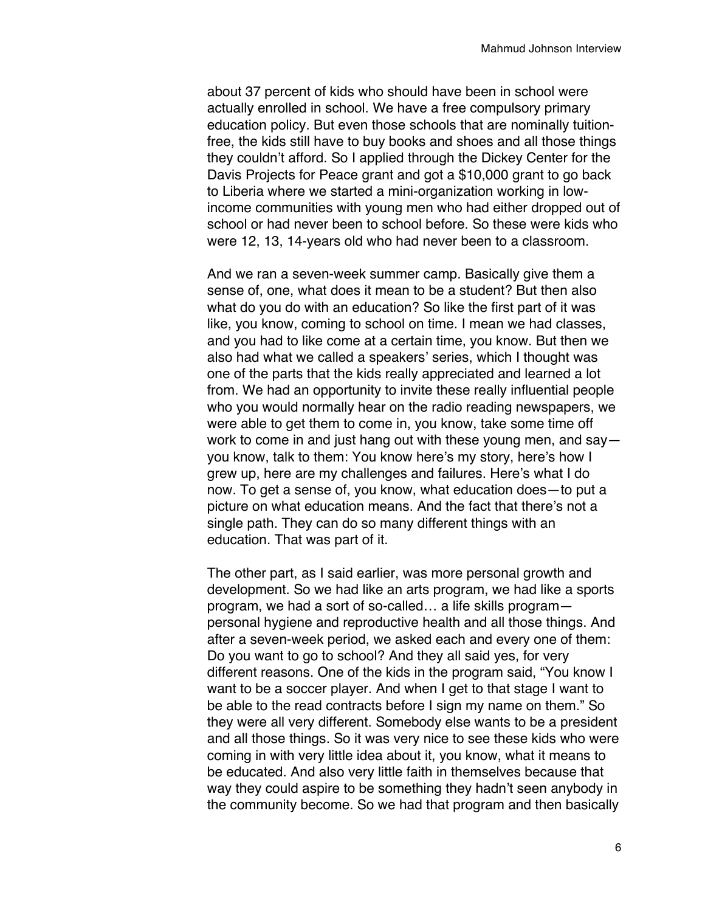about 37 percent of kids who should have been in school were actually enrolled in school. We have a free compulsory primary education policy. But even those schools that are nominally tuitionfree, the kids still have to buy books and shoes and all those things they couldn't afford. So I applied through the Dickey Center for the Davis Projects for Peace grant and got a \$10,000 grant to go back to Liberia where we started a mini-organization working in lowincome communities with young men who had either dropped out of school or had never been to school before. So these were kids who were 12, 13, 14-years old who had never been to a classroom.

And we ran a seven-week summer camp. Basically give them a sense of, one, what does it mean to be a student? But then also what do you do with an education? So like the first part of it was like, you know, coming to school on time. I mean we had classes, and you had to like come at a certain time, you know. But then we also had what we called a speakers' series, which I thought was one of the parts that the kids really appreciated and learned a lot from. We had an opportunity to invite these really influential people who you would normally hear on the radio reading newspapers, we were able to get them to come in, you know, take some time off work to come in and just hang out with these young men, and say you know, talk to them: You know here's my story, here's how I grew up, here are my challenges and failures. Here's what I do now. To get a sense of, you know, what education does—to put a picture on what education means. And the fact that there's not a single path. They can do so many different things with an education. That was part of it.

The other part, as I said earlier, was more personal growth and development. So we had like an arts program, we had like a sports program, we had a sort of so-called… a life skills program personal hygiene and reproductive health and all those things. And after a seven-week period, we asked each and every one of them: Do you want to go to school? And they all said yes, for very different reasons. One of the kids in the program said, "You know I want to be a soccer player. And when I get to that stage I want to be able to the read contracts before I sign my name on them." So they were all very different. Somebody else wants to be a president and all those things. So it was very nice to see these kids who were coming in with very little idea about it, you know, what it means to be educated. And also very little faith in themselves because that way they could aspire to be something they hadn't seen anybody in the community become. So we had that program and then basically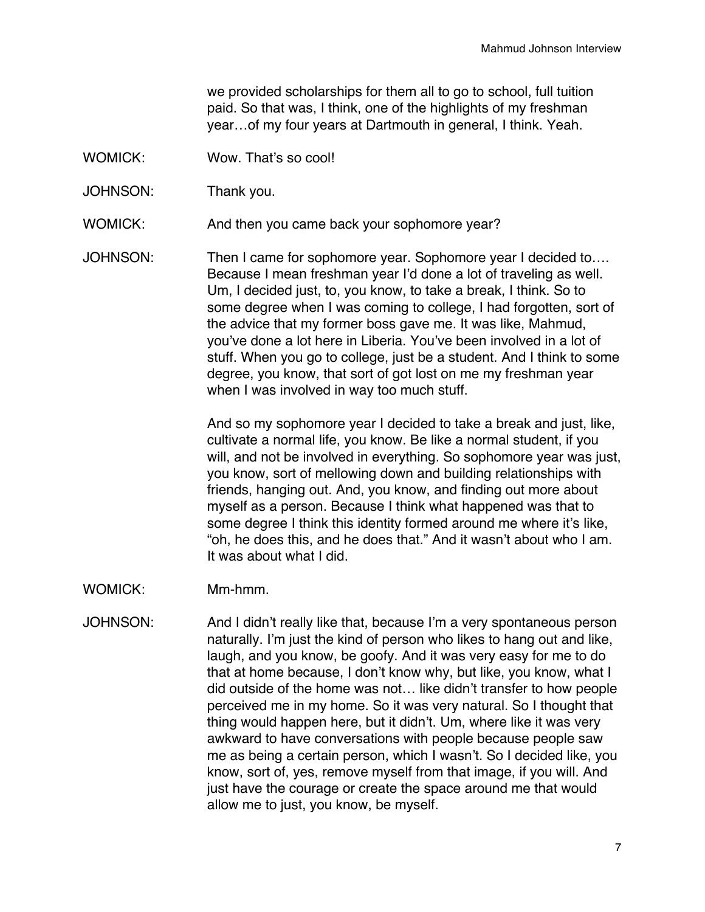we provided scholarships for them all to go to school, full tuition paid. So that was, I think, one of the highlights of my freshman year…of my four years at Dartmouth in general, I think. Yeah.

- WOMICK: Wow. That's so cool!
- JOHNSON: Thank you.

WOMICK: And then you came back your sophomore year?

JOHNSON: Then I came for sophomore year. Sophomore year I decided to…. Because I mean freshman year I'd done a lot of traveling as well. Um, I decided just, to, you know, to take a break, I think. So to some degree when I was coming to college, I had forgotten, sort of the advice that my former boss gave me. It was like, Mahmud, you've done a lot here in Liberia. You've been involved in a lot of stuff. When you go to college, just be a student. And I think to some degree, you know, that sort of got lost on me my freshman year when I was involved in way too much stuff.

> And so my sophomore year I decided to take a break and just, like, cultivate a normal life, you know. Be like a normal student, if you will, and not be involved in everything. So sophomore year was just, you know, sort of mellowing down and building relationships with friends, hanging out. And, you know, and finding out more about myself as a person. Because I think what happened was that to some degree I think this identity formed around me where it's like, "oh, he does this, and he does that." And it wasn't about who I am. It was about what I did.

- WOMICK: Mm-hmm.
- JOHNSON: And I didn't really like that, because I'm a very spontaneous person naturally. I'm just the kind of person who likes to hang out and like, laugh, and you know, be goofy. And it was very easy for me to do that at home because, I don't know why, but like, you know, what I did outside of the home was not… like didn't transfer to how people perceived me in my home. So it was very natural. So I thought that thing would happen here, but it didn't. Um, where like it was very awkward to have conversations with people because people saw me as being a certain person, which I wasn't. So I decided like, you know, sort of, yes, remove myself from that image, if you will. And just have the courage or create the space around me that would allow me to just, you know, be myself.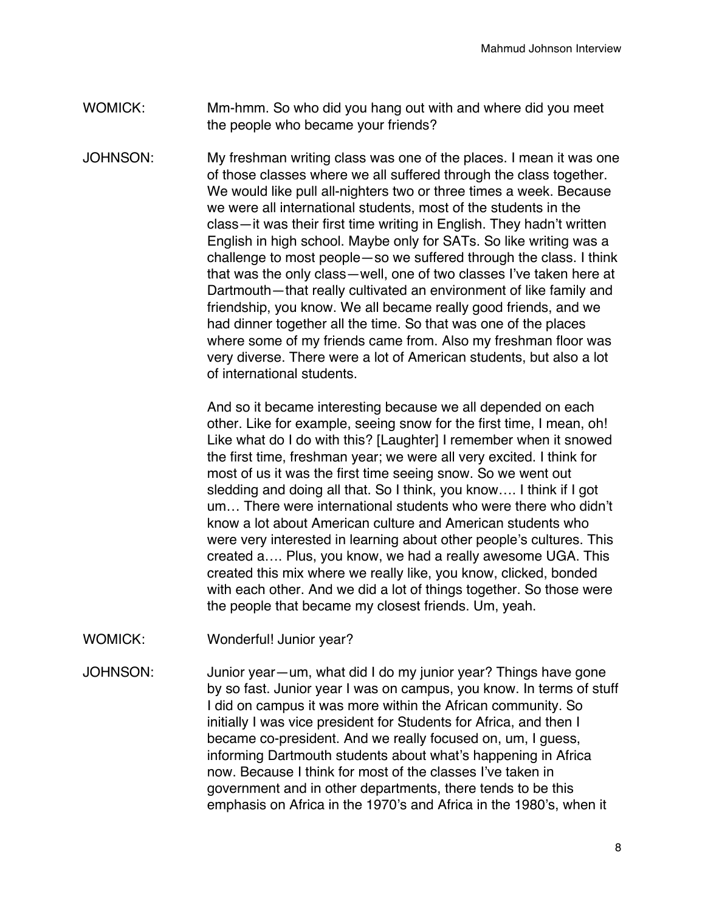- WOMICK: Mm-hmm. So who did you hang out with and where did you meet the people who became your friends?
- JOHNSON: My freshman writing class was one of the places. I mean it was one of those classes where we all suffered through the class together. We would like pull all-nighters two or three times a week. Because we were all international students, most of the students in the class—it was their first time writing in English. They hadn't written English in high school. Maybe only for SATs. So like writing was a challenge to most people—so we suffered through the class. I think that was the only class—well, one of two classes I've taken here at Dartmouth—that really cultivated an environment of like family and friendship, you know. We all became really good friends, and we had dinner together all the time. So that was one of the places where some of my friends came from. Also my freshman floor was very diverse. There were a lot of American students, but also a lot of international students.

And so it became interesting because we all depended on each other. Like for example, seeing snow for the first time, I mean, oh! Like what do I do with this? [Laughter] I remember when it snowed the first time, freshman year; we were all very excited. I think for most of us it was the first time seeing snow. So we went out sledding and doing all that. So I think, you know…. I think if I got um… There were international students who were there who didn't know a lot about American culture and American students who were very interested in learning about other people's cultures. This created a…. Plus, you know, we had a really awesome UGA. This created this mix where we really like, you know, clicked, bonded with each other. And we did a lot of things together. So those were the people that became my closest friends. Um, yeah.

- WOMICK: Wonderful! Junior year?
- JOHNSON: Junior year—um, what did I do my junior year? Things have gone by so fast. Junior year I was on campus, you know. In terms of stuff I did on campus it was more within the African community. So initially I was vice president for Students for Africa, and then I became co-president. And we really focused on, um, I guess, informing Dartmouth students about what's happening in Africa now. Because I think for most of the classes I've taken in government and in other departments, there tends to be this emphasis on Africa in the 1970's and Africa in the 1980's, when it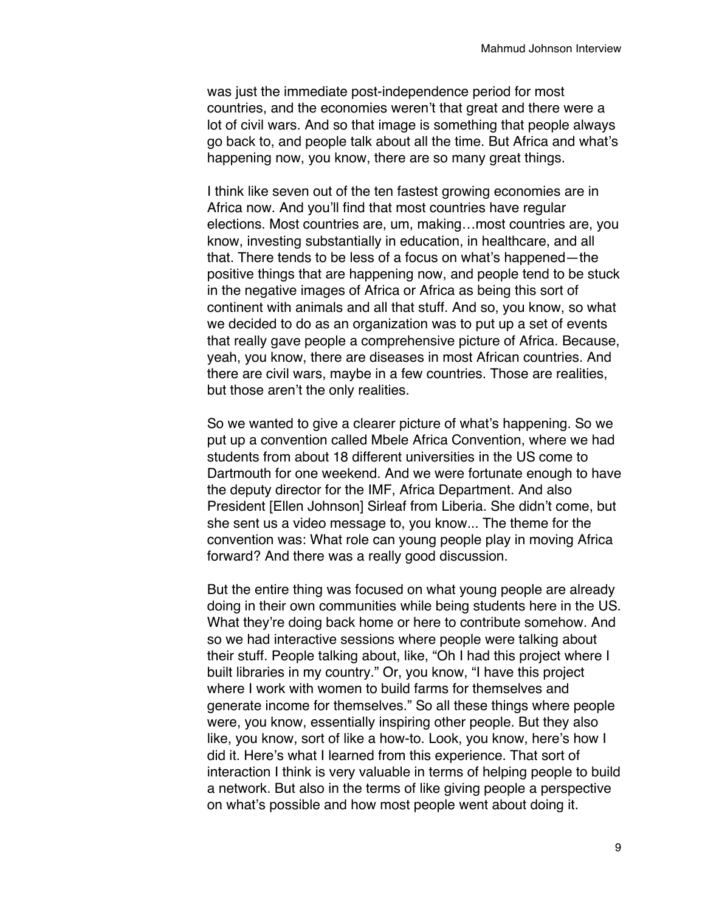was just the immediate post-independence period for most countries, and the economies weren't that great and there were a lot of civil wars. And so that image is something that people always go back to, and people talk about all the time. But Africa and what's happening now, you know, there are so many great things.

I think like seven out of the ten fastest growing economies are in Africa now. And you'll find that most countries have regular elections. Most countries are, um, making…most countries are, you know, investing substantially in education, in healthcare, and all that. There tends to be less of a focus on what's happened—the positive things that are happening now, and people tend to be stuck in the negative images of Africa or Africa as being this sort of continent with animals and all that stuff. And so, you know, so what we decided to do as an organization was to put up a set of events that really gave people a comprehensive picture of Africa. Because, yeah, you know, there are diseases in most African countries. And there are civil wars, maybe in a few countries. Those are realities, but those aren't the only realities.

So we wanted to give a clearer picture of what's happening. So we put up a convention called Mbele Africa Convention, where we had students from about 18 different universities in the US come to Dartmouth for one weekend. And we were fortunate enough to have the deputy director for the IMF, Africa Department. And also President [Ellen Johnson] Sirleaf from Liberia. She didn't come, but she sent us a video message to, you know... The theme for the convention was: What role can young people play in moving Africa forward? And there was a really good discussion.

But the entire thing was focused on what young people are already doing in their own communities while being students here in the US. What they're doing back home or here to contribute somehow. And so we had interactive sessions where people were talking about their stuff. People talking about, like, "Oh I had this project where I built libraries in my country." Or, you know, "I have this project where I work with women to build farms for themselves and generate income for themselves." So all these things where people were, you know, essentially inspiring other people. But they also like, you know, sort of like a how-to. Look, you know, here's how I did it. Here's what I learned from this experience. That sort of interaction I think is very valuable in terms of helping people to build a network. But also in the terms of like giving people a perspective on what's possible and how most people went about doing it.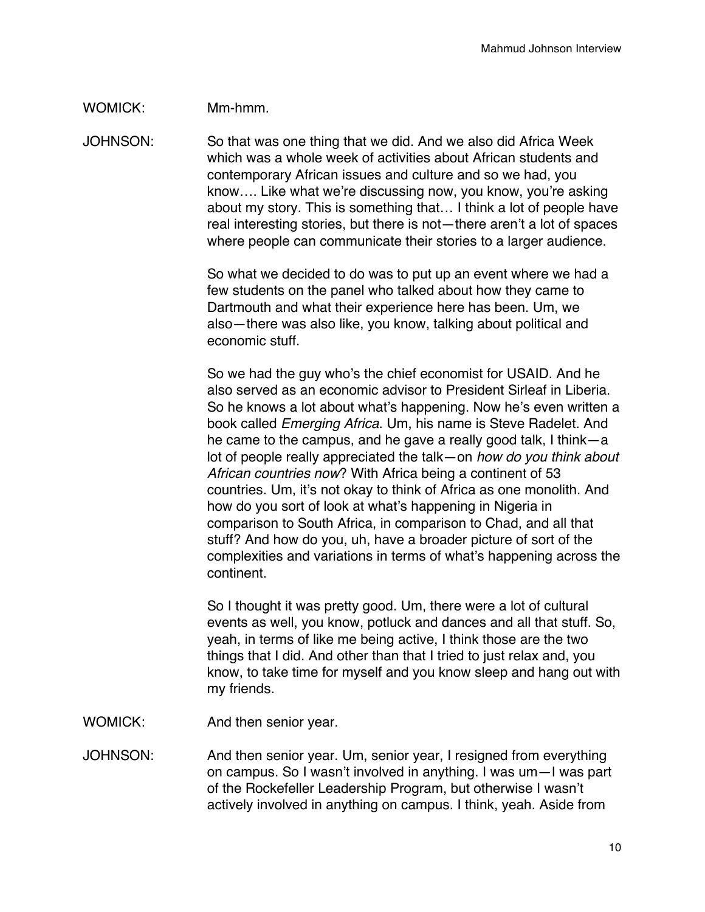## WOMICK: Mm-hmm.

JOHNSON: So that was one thing that we did. And we also did Africa Week which was a whole week of activities about African students and contemporary African issues and culture and so we had, you know…. Like what we're discussing now, you know, you're asking about my story. This is something that… I think a lot of people have real interesting stories, but there is not—there aren't a lot of spaces where people can communicate their stories to a larger audience.

> So what we decided to do was to put up an event where we had a few students on the panel who talked about how they came to Dartmouth and what their experience here has been. Um, we also—there was also like, you know, talking about political and economic stuff.

So we had the guy who's the chief economist for USAID. And he also served as an economic advisor to President Sirleaf in Liberia. So he knows a lot about what's happening. Now he's even written a book called *Emerging Africa*. Um, his name is Steve Radelet. And he came to the campus, and he gave a really good talk, I think—a lot of people really appreciated the talk—on *how do you think about African countries now*? With Africa being a continent of 53 countries. Um, it's not okay to think of Africa as one monolith. And how do you sort of look at what's happening in Nigeria in comparison to South Africa, in comparison to Chad, and all that stuff? And how do you, uh, have a broader picture of sort of the complexities and variations in terms of what's happening across the continent.

So I thought it was pretty good. Um, there were a lot of cultural events as well, you know, potluck and dances and all that stuff. So, yeah, in terms of like me being active, I think those are the two things that I did. And other than that I tried to just relax and, you know, to take time for myself and you know sleep and hang out with my friends.

- WOMICK: And then senior year.
- JOHNSON: And then senior year. Um, senior year, I resigned from everything on campus. So I wasn't involved in anything. I was um—I was part of the Rockefeller Leadership Program, but otherwise I wasn't actively involved in anything on campus. I think, yeah. Aside from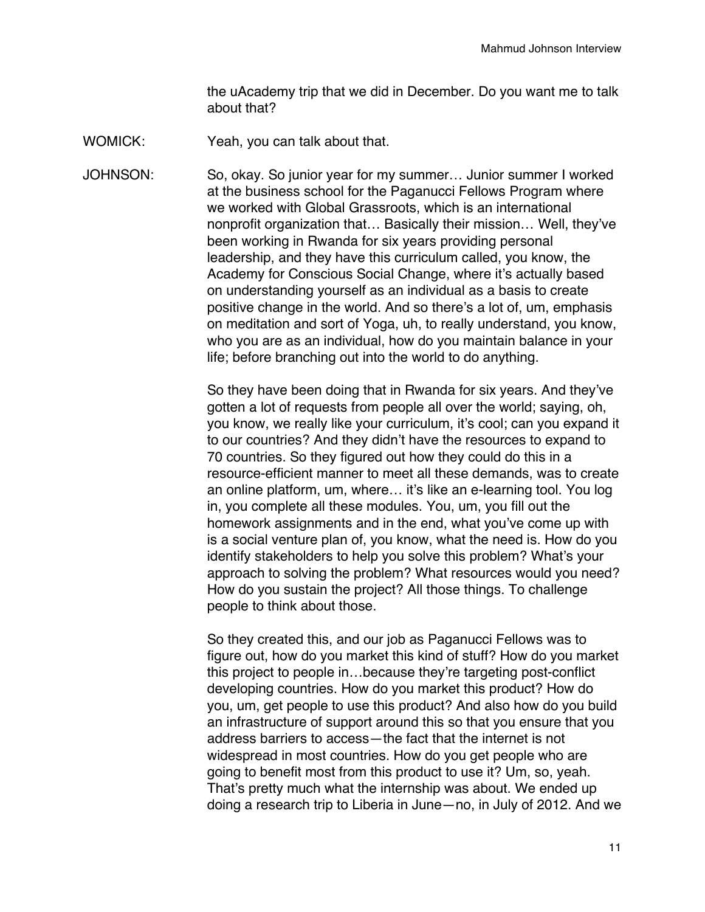the uAcademy trip that we did in December. Do you want me to talk about that?

WOMICK: Yeah, you can talk about that.

JOHNSON: So, okay. So junior year for my summer… Junior summer I worked at the business school for the Paganucci Fellows Program where we worked with Global Grassroots, which is an international nonprofit organization that… Basically their mission… Well, they've been working in Rwanda for six years providing personal leadership, and they have this curriculum called, you know, the Academy for Conscious Social Change, where it's actually based on understanding yourself as an individual as a basis to create positive change in the world. And so there's a lot of, um, emphasis on meditation and sort of Yoga, uh, to really understand, you know, who you are as an individual, how do you maintain balance in your life; before branching out into the world to do anything.

> So they have been doing that in Rwanda for six years. And they've gotten a lot of requests from people all over the world; saying, oh, you know, we really like your curriculum, it's cool; can you expand it to our countries? And they didn't have the resources to expand to 70 countries. So they figured out how they could do this in a resource-efficient manner to meet all these demands, was to create an online platform, um, where… it's like an e-learning tool. You log in, you complete all these modules. You, um, you fill out the homework assignments and in the end, what you've come up with is a social venture plan of, you know, what the need is. How do you identify stakeholders to help you solve this problem? What's your approach to solving the problem? What resources would you need? How do you sustain the project? All those things. To challenge people to think about those.

> So they created this, and our job as Paganucci Fellows was to figure out, how do you market this kind of stuff? How do you market this project to people in…because they're targeting post-conflict developing countries. How do you market this product? How do you, um, get people to use this product? And also how do you build an infrastructure of support around this so that you ensure that you address barriers to access—the fact that the internet is not widespread in most countries. How do you get people who are going to benefit most from this product to use it? Um, so, yeah. That's pretty much what the internship was about. We ended up doing a research trip to Liberia in June—no, in July of 2012. And we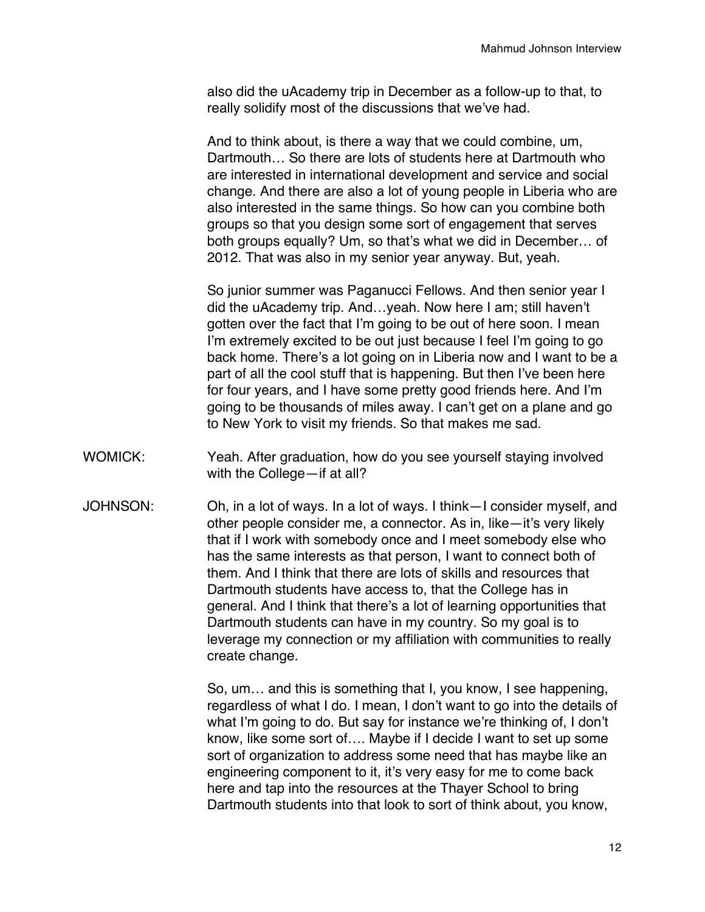also did the uAcademy trip in December as a follow-up to that, to really solidify most of the discussions that we've had.

And to think about, is there a way that we could combine, um, Dartmouth… So there are lots of students here at Dartmouth who are interested in international development and service and social change. And there are also a lot of young people in Liberia who are also interested in the same things. So how can you combine both groups so that you design some sort of engagement that serves both groups equally? Um, so that's what we did in December… of 2012. That was also in my senior year anyway. But, yeah.

So junior summer was Paganucci Fellows. And then senior year I did the uAcademy trip. And…yeah. Now here I am; still haven't gotten over the fact that I'm going to be out of here soon. I mean I'm extremely excited to be out just because I feel I'm going to go back home. There's a lot going on in Liberia now and I want to be a part of all the cool stuff that is happening. But then I've been here for four years, and I have some pretty good friends here. And I'm going to be thousands of miles away. I can't get on a plane and go to New York to visit my friends. So that makes me sad.

- WOMICK: Yeah. After graduation, how do you see yourself staying involved with the College—if at all?
- JOHNSON: Oh, in a lot of ways. In a lot of ways. I think—I consider myself, and other people consider me, a connector. As in, like—it's very likely that if I work with somebody once and I meet somebody else who has the same interests as that person, I want to connect both of them. And I think that there are lots of skills and resources that Dartmouth students have access to, that the College has in general. And I think that there's a lot of learning opportunities that Dartmouth students can have in my country. So my goal is to leverage my connection or my affiliation with communities to really create change.

So, um… and this is something that I, you know, I see happening, regardless of what I do. I mean, I don't want to go into the details of what I'm going to do. But say for instance we're thinking of, I don't know, like some sort of…. Maybe if I decide I want to set up some sort of organization to address some need that has maybe like an engineering component to it, it's very easy for me to come back here and tap into the resources at the Thayer School to bring Dartmouth students into that look to sort of think about, you know,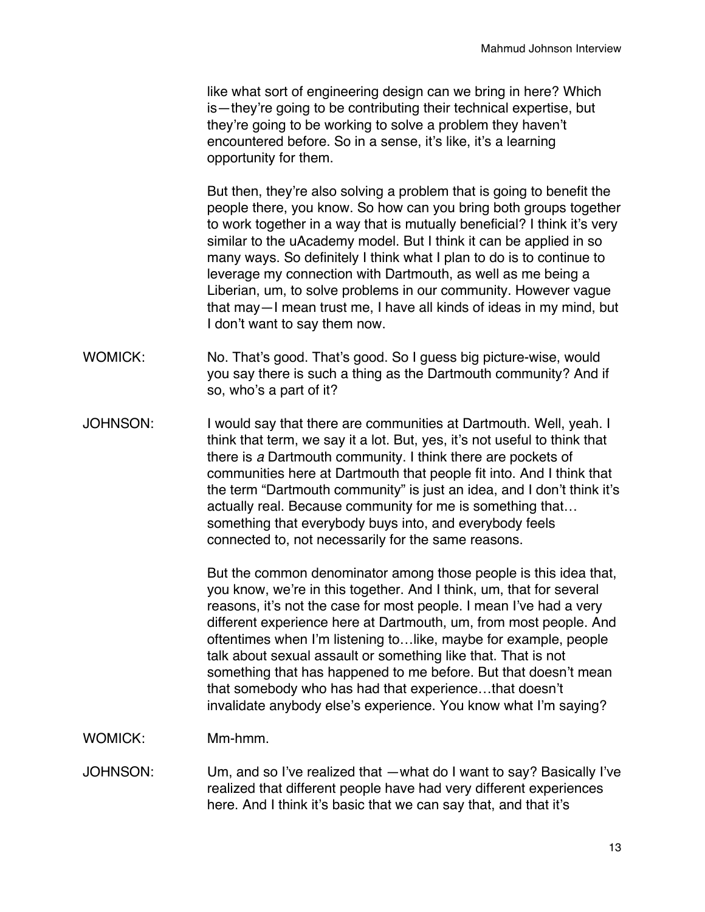like what sort of engineering design can we bring in here? Which is—they're going to be contributing their technical expertise, but they're going to be working to solve a problem they haven't encountered before. So in a sense, it's like, it's a learning opportunity for them.

But then, they're also solving a problem that is going to benefit the people there, you know. So how can you bring both groups together to work together in a way that is mutually beneficial? I think it's very similar to the uAcademy model. But I think it can be applied in so many ways. So definitely I think what I plan to do is to continue to leverage my connection with Dartmouth, as well as me being a Liberian, um, to solve problems in our community. However vague that may—I mean trust me, I have all kinds of ideas in my mind, but I don't want to say them now.

- WOMICK: No. That's good. That's good. So I guess big picture-wise, would you say there is such a thing as the Dartmouth community? And if so, who's a part of it?
- JOHNSON: I would say that there are communities at Dartmouth. Well, yeah. I think that term, we say it a lot. But, yes, it's not useful to think that there is *a* Dartmouth community. I think there are pockets of communities here at Dartmouth that people fit into. And I think that the term "Dartmouth community" is just an idea, and I don't think it's actually real. Because community for me is something that… something that everybody buys into, and everybody feels connected to, not necessarily for the same reasons.

But the common denominator among those people is this idea that, you know, we're in this together. And I think, um, that for several reasons, it's not the case for most people. I mean I've had a very different experience here at Dartmouth, um, from most people. And oftentimes when I'm listening to…like, maybe for example, people talk about sexual assault or something like that. That is not something that has happened to me before. But that doesn't mean that somebody who has had that experience…that doesn't invalidate anybody else's experience. You know what I'm saying?

WOMICK: Mm-hmm.

JOHNSON: Um, and so I've realized that —what do I want to say? Basically I've realized that different people have had very different experiences here. And I think it's basic that we can say that, and that it's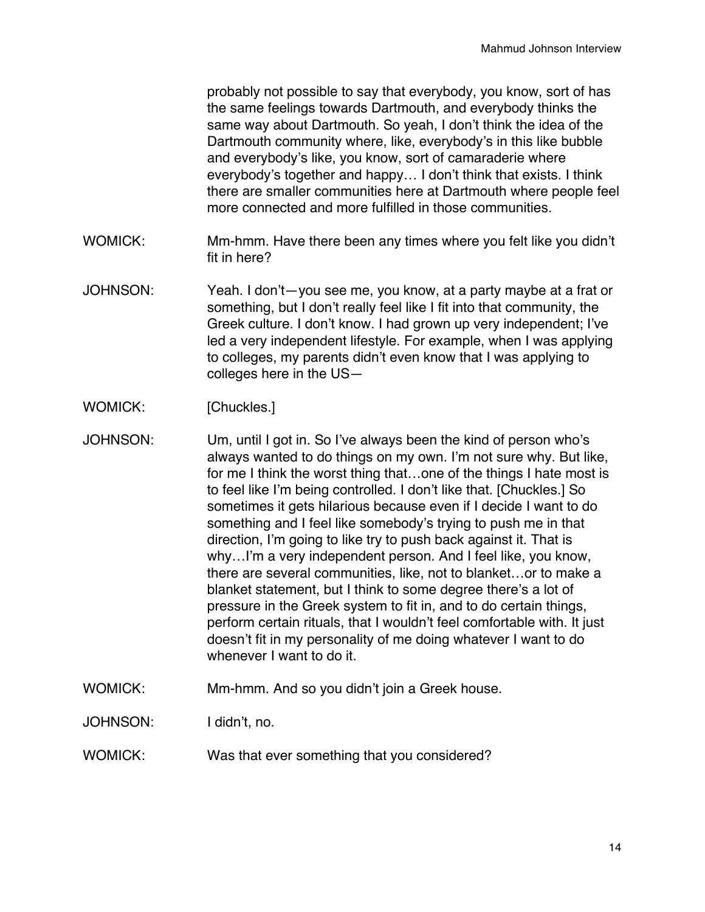probably not possible to say that everybody, you know, sort of has the same feelings towards Dartmouth, and everybody thinks the same way about Dartmouth. So yeah, I don't think the idea of the Dartmouth community where, like, everybody's in this like bubble and everybody's like, you know, sort of camaraderie where everybody's together and happy… I don't think that exists. I think there are smaller communities here at Dartmouth where people feel more connected and more fulfilled in those communities.

- WOMICK: Mm-hmm. Have there been any times where you felt like you didn't fit in here?
- JOHNSON: Yeah. I don't—you see me, you know, at a party maybe at a frat or something, but I don't really feel like I fit into that community, the Greek culture. I don't know. I had grown up very independent; I've led a very independent lifestyle. For example, when I was applying to colleges, my parents didn't even know that I was applying to colleges here in the US—
- WOMICK: [Chuckles.]
- JOHNSON: Um, until I got in. So I've always been the kind of person who's always wanted to do things on my own. I'm not sure why. But like, for me I think the worst thing that…one of the things I hate most is to feel like I'm being controlled. I don't like that. [Chuckles.] So sometimes it gets hilarious because even if I decide I want to do something and I feel like somebody's trying to push me in that direction, I'm going to like try to push back against it. That is why…I'm a very independent person. And I feel like, you know, there are several communities, like, not to blanket…or to make a blanket statement, but I think to some degree there's a lot of pressure in the Greek system to fit in, and to do certain things, perform certain rituals, that I wouldn't feel comfortable with. It just doesn't fit in my personality of me doing whatever I want to do whenever I want to do it.
- WOMICK: Mm-hmm. And so you didn't join a Greek house.

JOHNSON: I didn't, no.

WOMICK: Was that ever something that you considered?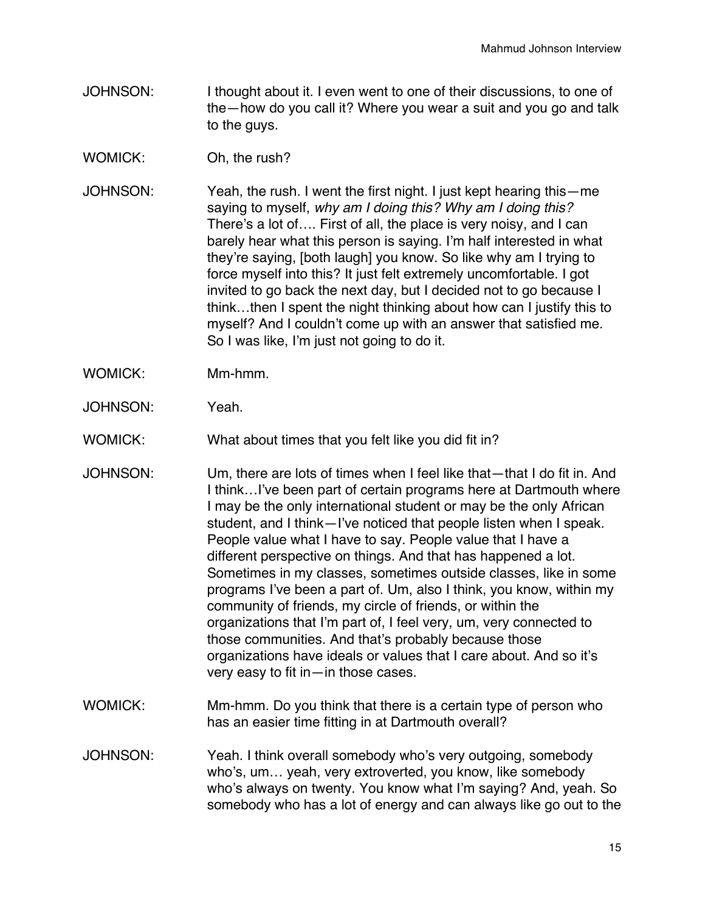- JOHNSON: I thought about it. I even went to one of their discussions, to one of the—how do you call it? Where you wear a suit and you go and talk to the guys.
- WOMICK: Oh, the rush?
- JOHNSON: Yeah, the rush. I went the first night. I just kept hearing this—me saying to myself, *why am I doing this? Why am I doing this?* There's a lot of…. First of all, the place is very noisy, and I can barely hear what this person is saying. I'm half interested in what they're saying, [both laugh] you know. So like why am I trying to force myself into this? It just felt extremely uncomfortable. I got invited to go back the next day, but I decided not to go because I think…then I spent the night thinking about how can I justify this to myself? And I couldn't come up with an answer that satisfied me. So I was like, I'm just not going to do it.
- WOMICK: Mm-hmm.
- JOHNSON: Yeah.
- WOMICK: What about times that you felt like you did fit in?
- JOHNSON: Um, there are lots of times when I feel like that—that I do fit in. And I think…I've been part of certain programs here at Dartmouth where I may be the only international student or may be the only African student, and I think—I've noticed that people listen when I speak. People value what I have to say. People value that I have a different perspective on things. And that has happened a lot. Sometimes in my classes, sometimes outside classes, like in some programs I've been a part of. Um, also I think, you know, within my community of friends, my circle of friends, or within the organizations that I'm part of, I feel very, um, very connected to those communities. And that's probably because those organizations have ideals or values that I care about. And so it's very easy to fit in—in those cases.
- WOMICK: Mm-hmm. Do you think that there is a certain type of person who has an easier time fitting in at Dartmouth overall?
- JOHNSON: Yeah. I think overall somebody who's very outgoing, somebody who's, um… yeah, very extroverted, you know, like somebody who's always on twenty. You know what I'm saying? And, yeah. So somebody who has a lot of energy and can always like go out to the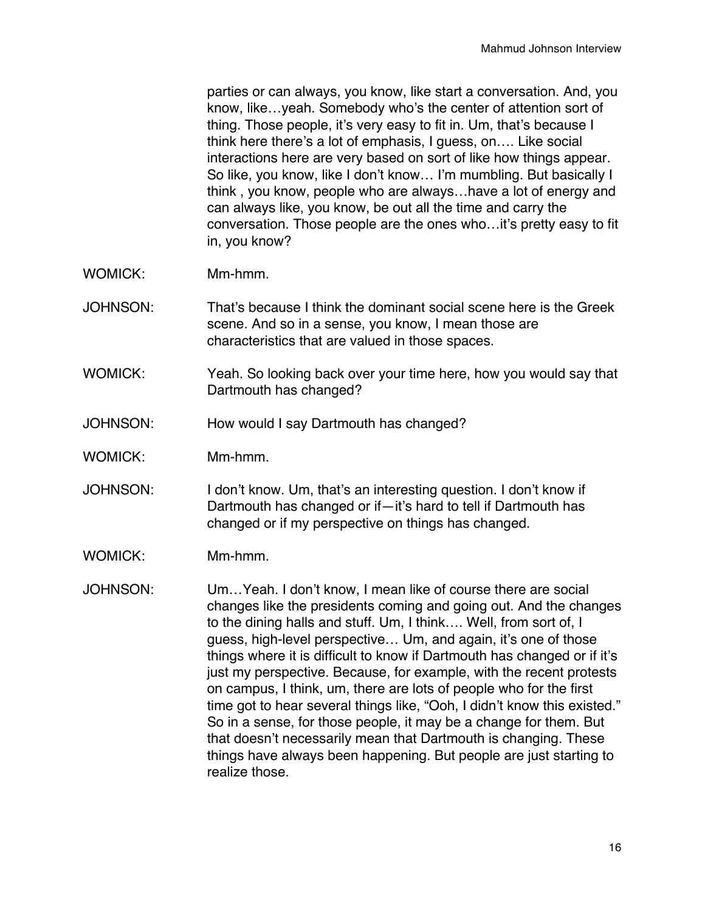parties or can always, you know, like start a conversation. And, you know, like…yeah. Somebody who's the center of attention sort of thing. Those people, it's very easy to fit in. Um, that's because I think here there's a lot of emphasis, I guess, on…. Like social interactions here are very based on sort of like how things appear. So like, you know, like I don't know… I'm mumbling. But basically I think , you know, people who are always…have a lot of energy and can always like, you know, be out all the time and carry the conversation. Those people are the ones who…it's pretty easy to fit in, you know?

- WOMICK: Mm-hmm.
- JOHNSON: That's because I think the dominant social scene here is the Greek scene. And so in a sense, you know, I mean those are characteristics that are valued in those spaces.
- WOMICK: Yeah. So looking back over your time here, how you would say that Dartmouth has changed?
- JOHNSON: How would I say Dartmouth has changed?
- WOMICK: Mm-hmm.
- JOHNSON: I don't know. Um, that's an interesting question. I don't know if Dartmouth has changed or if—it's hard to tell if Dartmouth has changed or if my perspective on things has changed.
- WOMICK: Mm-hmm.
- JOHNSON: Um…Yeah. I don't know, I mean like of course there are social changes like the presidents coming and going out. And the changes to the dining halls and stuff. Um, I think…. Well, from sort of, I guess, high-level perspective… Um, and again, it's one of those things where it is difficult to know if Dartmouth has changed or if it's just my perspective. Because, for example, with the recent protests on campus, I think, um, there are lots of people who for the first time got to hear several things like, "Ooh, I didn't know this existed." So in a sense, for those people, it may be a change for them. But that doesn't necessarily mean that Dartmouth is changing. These things have always been happening. But people are just starting to realize those.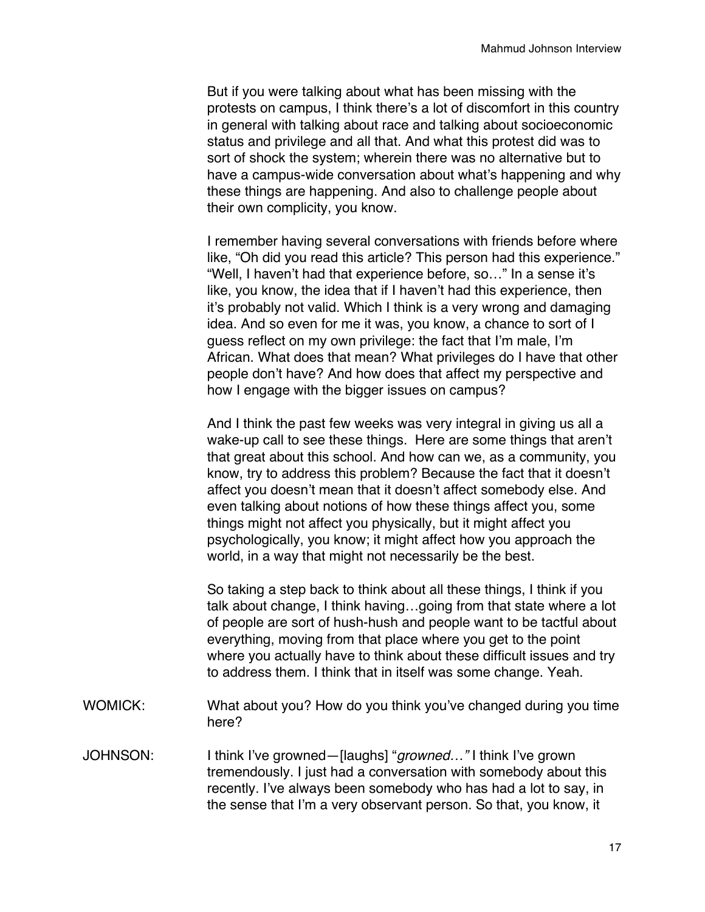But if you were talking about what has been missing with the protests on campus, I think there's a lot of discomfort in this country in general with talking about race and talking about socioeconomic status and privilege and all that. And what this protest did was to sort of shock the system; wherein there was no alternative but to have a campus-wide conversation about what's happening and why these things are happening. And also to challenge people about their own complicity, you know.

I remember having several conversations with friends before where like, "Oh did you read this article? This person had this experience." "Well, I haven't had that experience before, so…" In a sense it's like, you know, the idea that if I haven't had this experience, then it's probably not valid. Which I think is a very wrong and damaging idea. And so even for me it was, you know, a chance to sort of I guess reflect on my own privilege: the fact that I'm male, I'm African. What does that mean? What privileges do I have that other people don't have? And how does that affect my perspective and how I engage with the bigger issues on campus?

And I think the past few weeks was very integral in giving us all a wake-up call to see these things. Here are some things that aren't that great about this school. And how can we, as a community, you know, try to address this problem? Because the fact that it doesn't affect you doesn't mean that it doesn't affect somebody else. And even talking about notions of how these things affect you, some things might not affect you physically, but it might affect you psychologically, you know; it might affect how you approach the world, in a way that might not necessarily be the best.

So taking a step back to think about all these things, I think if you talk about change, I think having…going from that state where a lot of people are sort of hush-hush and people want to be tactful about everything, moving from that place where you get to the point where you actually have to think about these difficult issues and try to address them. I think that in itself was some change. Yeah.

- WOMICK: What about you? How do you think you've changed during you time here?
- JOHNSON: I think I've growned—[laughs] "*growned…"* I think I've grown tremendously. I just had a conversation with somebody about this recently. I've always been somebody who has had a lot to say, in the sense that I'm a very observant person. So that, you know, it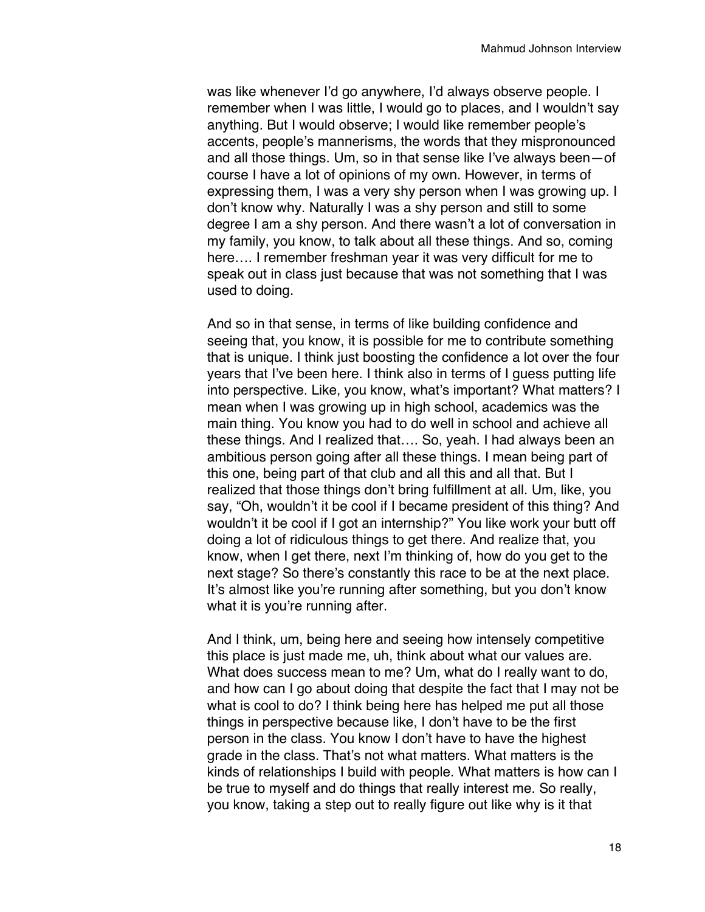was like whenever I'd go anywhere, I'd always observe people. I remember when I was little, I would go to places, and I wouldn't say anything. But I would observe; I would like remember people's accents, people's mannerisms, the words that they mispronounced and all those things. Um, so in that sense like I've always been—of course I have a lot of opinions of my own. However, in terms of expressing them, I was a very shy person when I was growing up. I don't know why. Naturally I was a shy person and still to some degree I am a shy person. And there wasn't a lot of conversation in my family, you know, to talk about all these things. And so, coming here…. I remember freshman year it was very difficult for me to speak out in class just because that was not something that I was used to doing.

And so in that sense, in terms of like building confidence and seeing that, you know, it is possible for me to contribute something that is unique. I think just boosting the confidence a lot over the four years that I've been here. I think also in terms of I guess putting life into perspective. Like, you know, what's important? What matters? I mean when I was growing up in high school, academics was the main thing. You know you had to do well in school and achieve all these things. And I realized that…. So, yeah. I had always been an ambitious person going after all these things. I mean being part of this one, being part of that club and all this and all that. But I realized that those things don't bring fulfillment at all. Um, like, you say, "Oh, wouldn't it be cool if I became president of this thing? And wouldn't it be cool if I got an internship?" You like work your butt off doing a lot of ridiculous things to get there. And realize that, you know, when I get there, next I'm thinking of, how do you get to the next stage? So there's constantly this race to be at the next place. It's almost like you're running after something, but you don't know what it is you're running after.

And I think, um, being here and seeing how intensely competitive this place is just made me, uh, think about what our values are. What does success mean to me? Um, what do I really want to do, and how can I go about doing that despite the fact that I may not be what is cool to do? I think being here has helped me put all those things in perspective because like, I don't have to be the first person in the class. You know I don't have to have the highest grade in the class. That's not what matters. What matters is the kinds of relationships I build with people. What matters is how can I be true to myself and do things that really interest me. So really, you know, taking a step out to really figure out like why is it that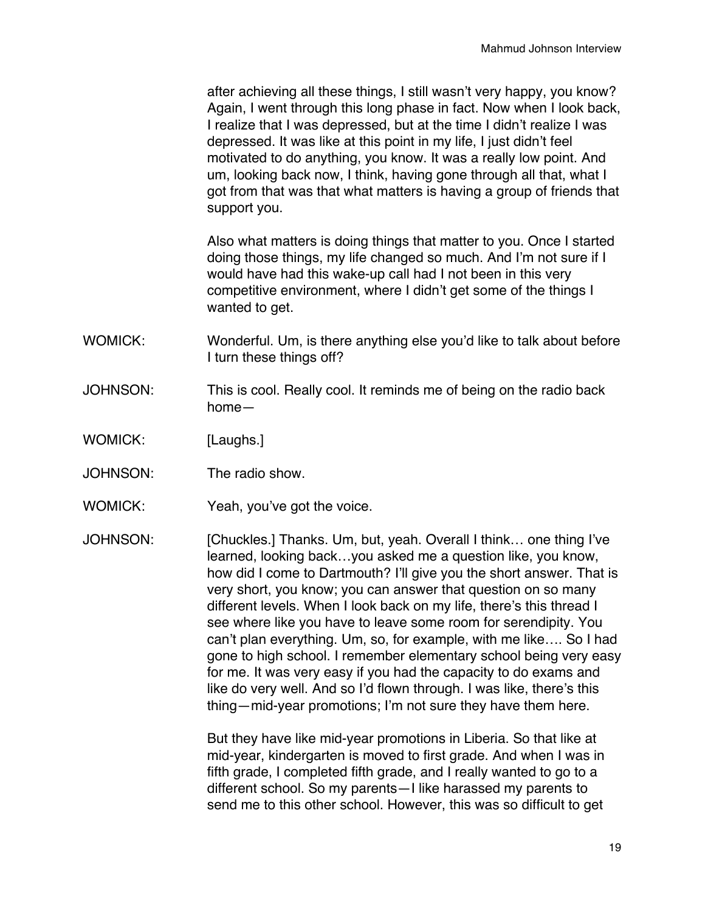after achieving all these things, I still wasn't very happy, you know? Again, I went through this long phase in fact. Now when I look back, I realize that I was depressed, but at the time I didn't realize I was depressed. It was like at this point in my life, I just didn't feel motivated to do anything, you know. It was a really low point. And um, looking back now, I think, having gone through all that, what I got from that was that what matters is having a group of friends that support you.

Also what matters is doing things that matter to you. Once I started doing those things, my life changed so much. And I'm not sure if I would have had this wake-up call had I not been in this very competitive environment, where I didn't get some of the things I wanted to get.

- WOMICK: Wonderful. Um, is there anything else you'd like to talk about before I turn these things off?
- JOHNSON: This is cool. Really cool. It reminds me of being on the radio back home—
- WOMICK: [Laughs.]
- JOHNSON: The radio show.
- WOMICK: Yeah, you've got the voice.
- JOHNSON: [Chuckles.] Thanks. Um, but, yeah. Overall I think… one thing I've learned, looking back…you asked me a question like, you know, how did I come to Dartmouth? I'll give you the short answer. That is very short, you know; you can answer that question on so many different levels. When I look back on my life, there's this thread I see where like you have to leave some room for serendipity. You can't plan everything. Um, so, for example, with me like…. So I had gone to high school. I remember elementary school being very easy for me. It was very easy if you had the capacity to do exams and like do very well. And so I'd flown through. I was like, there's this thing—mid-year promotions; I'm not sure they have them here.

But they have like mid-year promotions in Liberia. So that like at mid-year, kindergarten is moved to first grade. And when I was in fifth grade, I completed fifth grade, and I really wanted to go to a different school. So my parents—I like harassed my parents to send me to this other school. However, this was so difficult to get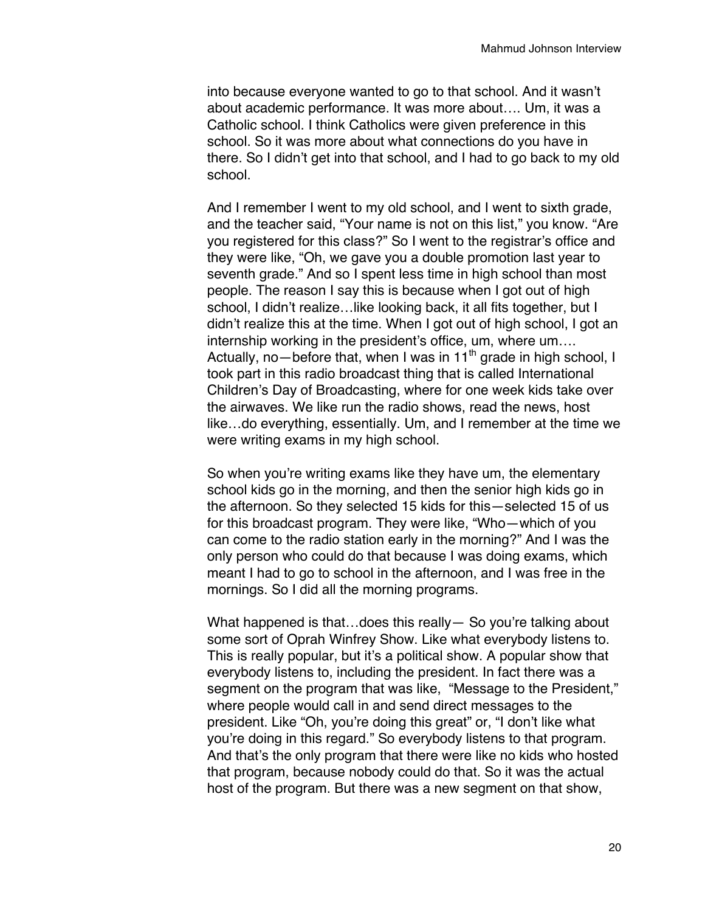into because everyone wanted to go to that school. And it wasn't about academic performance. It was more about…. Um, it was a Catholic school. I think Catholics were given preference in this school. So it was more about what connections do you have in there. So I didn't get into that school, and I had to go back to my old school.

And I remember I went to my old school, and I went to sixth grade, and the teacher said, "Your name is not on this list," you know. "Are you registered for this class?" So I went to the registrar's office and they were like, "Oh, we gave you a double promotion last year to seventh grade." And so I spent less time in high school than most people. The reason I say this is because when I got out of high school, I didn't realize…like looking back, it all fits together, but I didn't realize this at the time. When I got out of high school, I got an internship working in the president's office, um, where um…. Actually, no—before that, when I was in 11<sup>th</sup> grade in high school, I took part in this radio broadcast thing that is called International Children's Day of Broadcasting, where for one week kids take over the airwaves. We like run the radio shows, read the news, host like…do everything, essentially. Um, and I remember at the time we were writing exams in my high school.

So when you're writing exams like they have um, the elementary school kids go in the morning, and then the senior high kids go in the afternoon. So they selected 15 kids for this—selected 15 of us for this broadcast program. They were like, "Who—which of you can come to the radio station early in the morning?" And I was the only person who could do that because I was doing exams, which meant I had to go to school in the afternoon, and I was free in the mornings. So I did all the morning programs.

What happened is that...does this really - So you're talking about some sort of Oprah Winfrey Show. Like what everybody listens to. This is really popular, but it's a political show. A popular show that everybody listens to, including the president. In fact there was a segment on the program that was like, "Message to the President," where people would call in and send direct messages to the president. Like "Oh, you're doing this great" or, "I don't like what you're doing in this regard." So everybody listens to that program. And that's the only program that there were like no kids who hosted that program, because nobody could do that. So it was the actual host of the program. But there was a new segment on that show,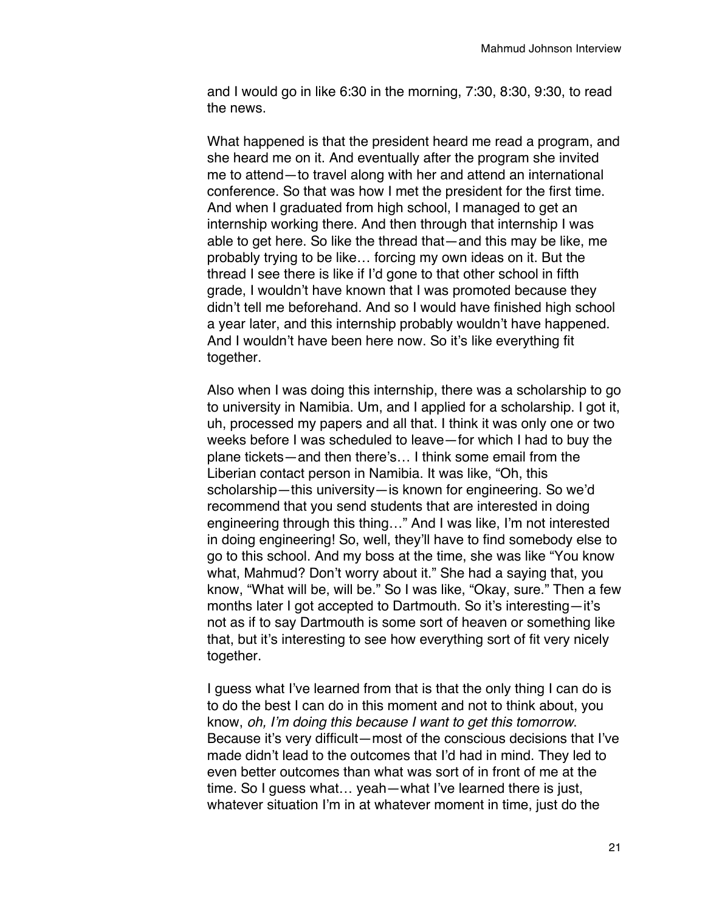and I would go in like 6:30 in the morning, 7:30, 8:30, 9:30, to read the news.

What happened is that the president heard me read a program, and she heard me on it. And eventually after the program she invited me to attend—to travel along with her and attend an international conference. So that was how I met the president for the first time. And when I graduated from high school, I managed to get an internship working there. And then through that internship I was able to get here. So like the thread that—and this may be like, me probably trying to be like… forcing my own ideas on it. But the thread I see there is like if I'd gone to that other school in fifth grade, I wouldn't have known that I was promoted because they didn't tell me beforehand. And so I would have finished high school a year later, and this internship probably wouldn't have happened. And I wouldn't have been here now. So it's like everything fit together.

Also when I was doing this internship, there was a scholarship to go to university in Namibia. Um, and I applied for a scholarship. I got it, uh, processed my papers and all that. I think it was only one or two weeks before I was scheduled to leave—for which I had to buy the plane tickets—and then there's… I think some email from the Liberian contact person in Namibia. It was like, "Oh, this scholarship—this university—is known for engineering. So we'd recommend that you send students that are interested in doing engineering through this thing…" And I was like, I'm not interested in doing engineering! So, well, they'll have to find somebody else to go to this school. And my boss at the time, she was like "You know what, Mahmud? Don't worry about it." She had a saying that, you know, "What will be, will be." So I was like, "Okay, sure." Then a few months later I got accepted to Dartmouth. So it's interesting—it's not as if to say Dartmouth is some sort of heaven or something like that, but it's interesting to see how everything sort of fit very nicely together.

I guess what I've learned from that is that the only thing I can do is to do the best I can do in this moment and not to think about, you know, *oh, I'm doing this because I want to get this tomorrow*. Because it's very difficult—most of the conscious decisions that I've made didn't lead to the outcomes that I'd had in mind. They led to even better outcomes than what was sort of in front of me at the time. So I guess what… yeah—what I've learned there is just, whatever situation I'm in at whatever moment in time, just do the